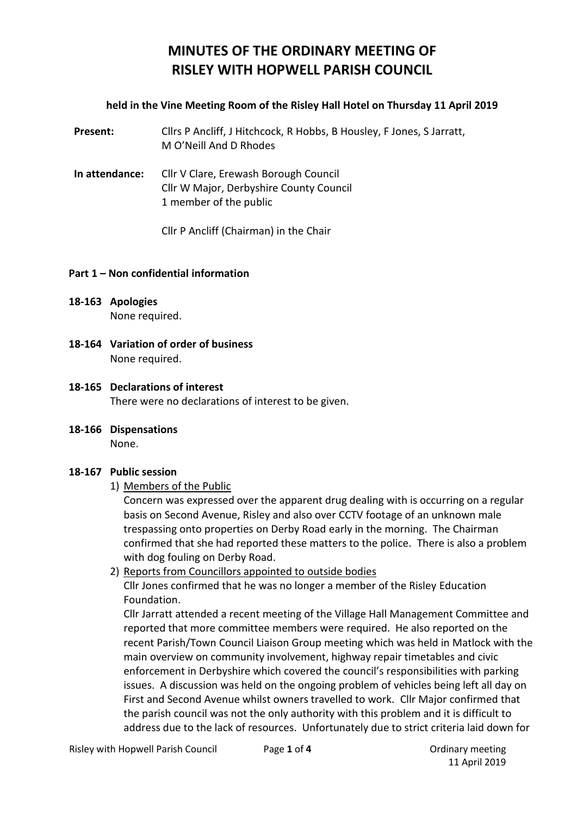# **MINUTES OF THE ORDINARY MEETING OF RISLEY WITH HOPWELL PARISH COUNCIL**

#### **held in the Vine Meeting Room of the Risley Hall Hotel on Thursday 11 April 2019**

**Present:** Cllrs P Ancliff, J Hitchcock, R Hobbs, B Housley, F Jones, S Jarratt, M O'Neill And D Rhodes

**In attendance:** Cllr V Clare, Erewash Borough Council Cllr W Major, Derbyshire County Council 1 member of the public

Cllr P Ancliff (Chairman) in the Chair

#### **Part 1 – Non confidential information**

- **18-163 Apologies** None required.
- **18-164 Variation of order of business** None required.
- **18-165 Declarations of interest** There were no declarations of interest to be given.
- **18-166 Dispensations** None.

## **18-167 Public session**

1) Members of the Public

Concern was expressed over the apparent drug dealing with is occurring on a regular basis on Second Avenue, Risley and also over CCTV footage of an unknown male trespassing onto properties on Derby Road early in the morning. The Chairman confirmed that she had reported these matters to the police. There is also a problem with dog fouling on Derby Road.

2) Reports from Councillors appointed to outside bodies

Cllr Jones confirmed that he was no longer a member of the Risley Education Foundation.

Cllr Jarratt attended a recent meeting of the Village Hall Management Committee and reported that more committee members were required. He also reported on the recent Parish/Town Council Liaison Group meeting which was held in Matlock with the main overview on community involvement, highway repair timetables and civic enforcement in Derbyshire which covered the council's responsibilities with parking issues. A discussion was held on the ongoing problem of vehicles being left all day on First and Second Avenue whilst owners travelled to work. Cllr Major confirmed that the parish council was not the only authority with this problem and it is difficult to address due to the lack of resources. Unfortunately due to strict criteria laid down for

11 April 2019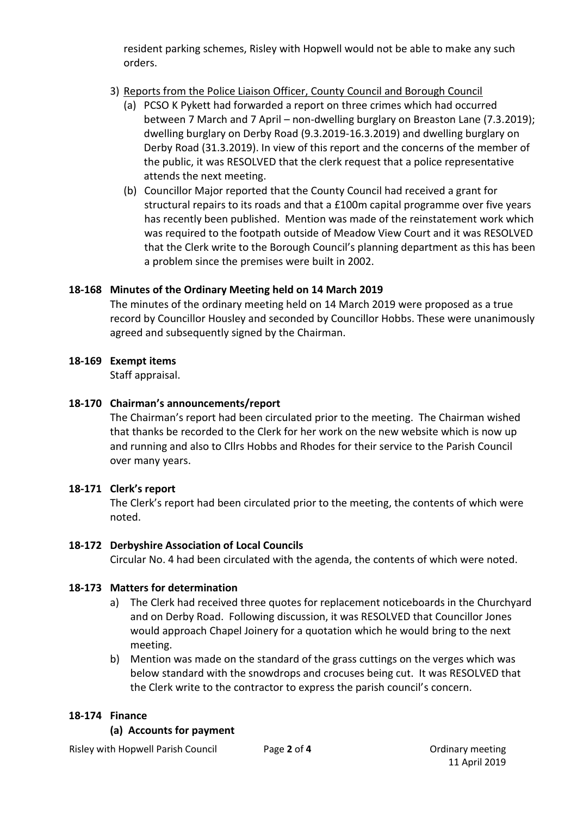resident parking schemes, Risley with Hopwell would not be able to make any such orders.

## 3) Reports from the Police Liaison Officer, County Council and Borough Council

- (a) PCSO K Pykett had forwarded a report on three crimes which had occurred between 7 March and 7 April – non-dwelling burglary on Breaston Lane (7.3.2019); dwelling burglary on Derby Road (9.3.2019-16.3.2019) and dwelling burglary on Derby Road (31.3.2019). In view of this report and the concerns of the member of the public, it was RESOLVED that the clerk request that a police representative attends the next meeting.
- (b) Councillor Major reported that the County Council had received a grant for structural repairs to its roads and that a £100m capital programme over five years has recently been published. Mention was made of the reinstatement work which was required to the footpath outside of Meadow View Court and it was RESOLVED that the Clerk write to the Borough Council's planning department as this has been a problem since the premises were built in 2002.

## **18-168 Minutes of the Ordinary Meeting held on 14 March 2019**

The minutes of the ordinary meeting held on 14 March 2019 were proposed as a true record by Councillor Housley and seconded by Councillor Hobbs. These were unanimously agreed and subsequently signed by the Chairman.

## **18-169 Exempt items**

Staff appraisal.

## **18-170 Chairman's announcements/report**

The Chairman's report had been circulated prior to the meeting. The Chairman wished that thanks be recorded to the Clerk for her work on the new website which is now up and running and also to Cllrs Hobbs and Rhodes for their service to the Parish Council over many years.

## **18-171 Clerk's report**

The Clerk's report had been circulated prior to the meeting, the contents of which were noted.

#### **18-172 Derbyshire Association of Local Councils**

Circular No. 4 had been circulated with the agenda, the contents of which were noted.

#### **18-173 Matters for determination**

- a) The Clerk had received three quotes for replacement noticeboards in the Churchyard and on Derby Road. Following discussion, it was RESOLVED that Councillor Jones would approach Chapel Joinery for a quotation which he would bring to the next meeting.
- b) Mention was made on the standard of the grass cuttings on the verges which was below standard with the snowdrops and crocuses being cut. It was RESOLVED that the Clerk write to the contractor to express the parish council's concern.

## **18-174 Finance**

#### **(a) Accounts for payment**

Risley with Hopwell Parish Council Page **2** of **4** Ordinary meeting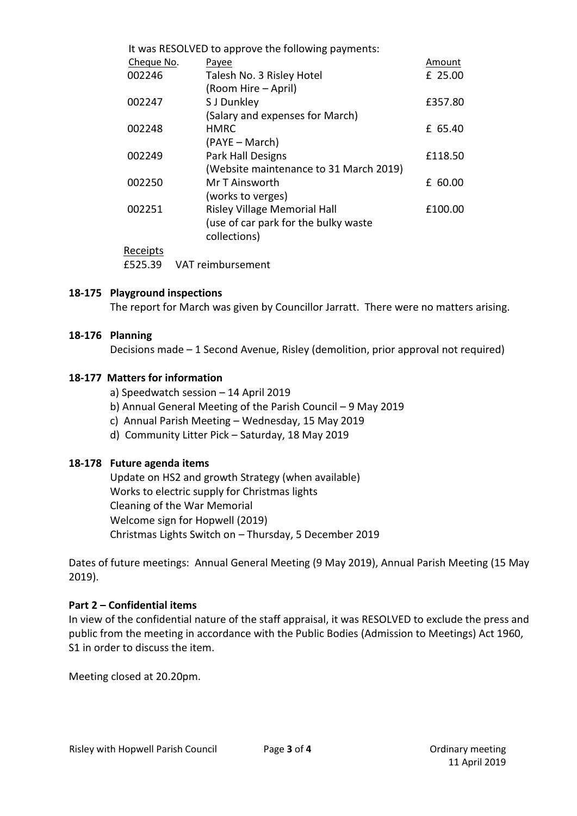| It was RESOLVED to approve the following payments: |                                        |            |  |
|----------------------------------------------------|----------------------------------------|------------|--|
| Cheque No.                                         | Payee                                  | Amount     |  |
| 002246                                             | Talesh No. 3 Risley Hotel              | £ 25.00    |  |
|                                                    | (Room Hire – April)                    |            |  |
| 002247                                             | S J Dunkley                            | £357.80    |  |
|                                                    | (Salary and expenses for March)        |            |  |
| 002248                                             | <b>HMRC</b>                            | £ 65.40    |  |
|                                                    | (PAYE – March)                         |            |  |
| 002249                                             | <b>Park Hall Designs</b>               | £118.50    |  |
|                                                    | (Website maintenance to 31 March 2019) |            |  |
| 002250                                             | Mr T Ainsworth                         | 60.00<br>f |  |
|                                                    | (works to verges)                      |            |  |
| 002251                                             | <b>Risley Village Memorial Hall</b>    | £100.00    |  |
|                                                    | (use of car park for the bulky waste   |            |  |
|                                                    | collections)                           |            |  |
| Receipts                                           |                                        |            |  |
| £525.39                                            | VAT reimbursement                      |            |  |

#### **18-175 Playground inspections**

The report for March was given by Councillor Jarratt. There were no matters arising.

#### **18-176 Planning**

Decisions made – 1 Second Avenue, Risley (demolition, prior approval not required)

#### **18-177 Matters for information**

- a) Speedwatch session 14 April 2019
- b) Annual General Meeting of the Parish Council 9 May 2019
- c) Annual Parish Meeting Wednesday, 15 May 2019
- d) Community Litter Pick Saturday, 18 May 2019

#### **18-178 Future agenda items**

Update on HS2 and growth Strategy (when available) Works to electric supply for Christmas lights Cleaning of the War Memorial Welcome sign for Hopwell (2019) Christmas Lights Switch on – Thursday, 5 December 2019

Dates of future meetings: Annual General Meeting (9 May 2019), Annual Parish Meeting (15 May 2019).

#### **Part 2 – Confidential items**

In view of the confidential nature of the staff appraisal, it was RESOLVED to exclude the press and public from the meeting in accordance with the Public Bodies (Admission to Meetings) Act 1960, S1 in order to discuss the item.

Meeting closed at 20.20pm.